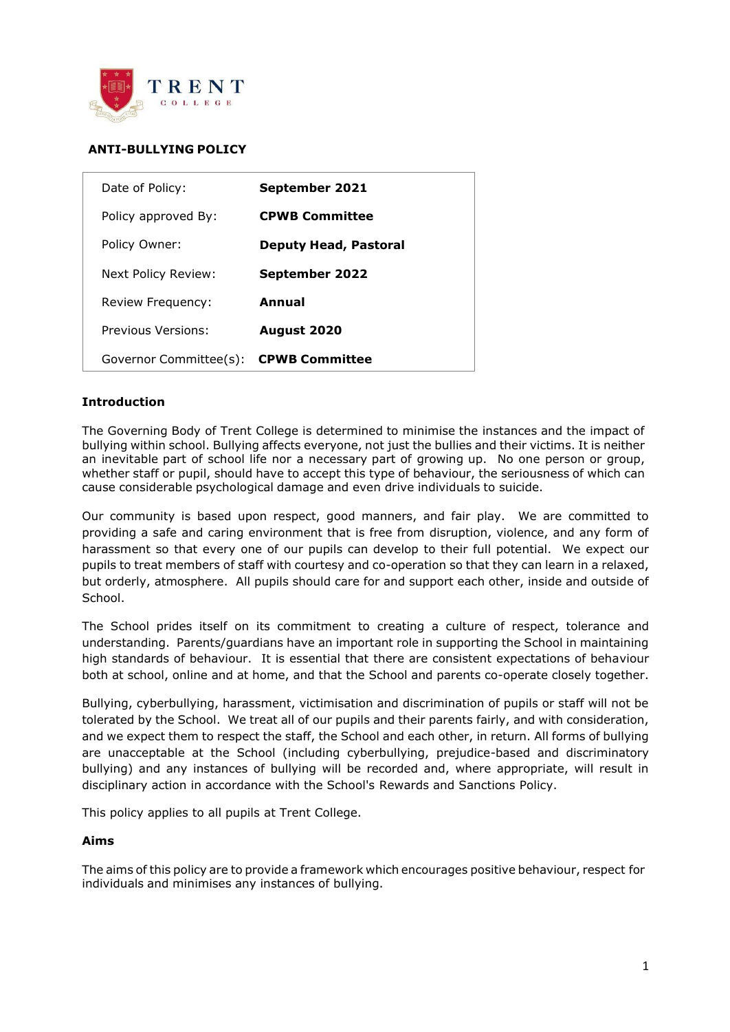

# **ANTI-BULLYING POLICY**

| Date of Policy:        | September 2021               |
|------------------------|------------------------------|
| Policy approved By:    | <b>CPWB Committee</b>        |
| Policy Owner:          | <b>Deputy Head, Pastoral</b> |
| Next Policy Review:    | September 2022               |
| Review Frequency:      | Annual                       |
| Previous Versions:     | <b>August 2020</b>           |
| Governor Committee(s): | <b>CPWB Committee</b>        |

## **Introduction**

The Governing Body of Trent College is determined to minimise the instances and the impact of bullying within school. Bullying affects everyone, not just the bullies and their victims. It is neither an inevitable part of school life nor a necessary part of growing up. No one person or group, whether staff or pupil, should have to accept this type of behaviour, the seriousness of which can cause considerable psychological damage and even drive individuals to suicide.

Our community is based upon respect, good manners, and fair play. We are committed to providing a safe and caring environment that is free from disruption, violence, and any form of harassment so that every one of our pupils can develop to their full potential. We expect our pupils to treat members of staff with courtesy and co-operation so that they can learn in a relaxed, but orderly, atmosphere. All pupils should care for and support each other, inside and outside of School.

The School prides itself on its commitment to creating a culture of respect, tolerance and understanding. Parents/guardians have an important role in supporting the School in maintaining high standards of behaviour. It is essential that there are consistent expectations of behaviour both at school, online and at home, and that the School and parents co-operate closely together.

Bullying, cyberbullying, harassment, victimisation and discrimination of pupils or staff will not be tolerated by the School. We treat all of our pupils and their parents fairly, and with consideration, and we expect them to respect the staff, the School and each other, in return. All forms of bullying are unacceptable at the School (including cyberbullying, prejudice-based and discriminatory bullying) and any instances of bullying will be recorded and, where appropriate, will result in disciplinary action in accordance with the School's Rewards and Sanctions Policy.

This policy applies to all pupils at Trent College.

#### **Aims**

The aims of this policy are to provide a framework which encourages positive behaviour, respect for individuals and minimises any instances of bullying.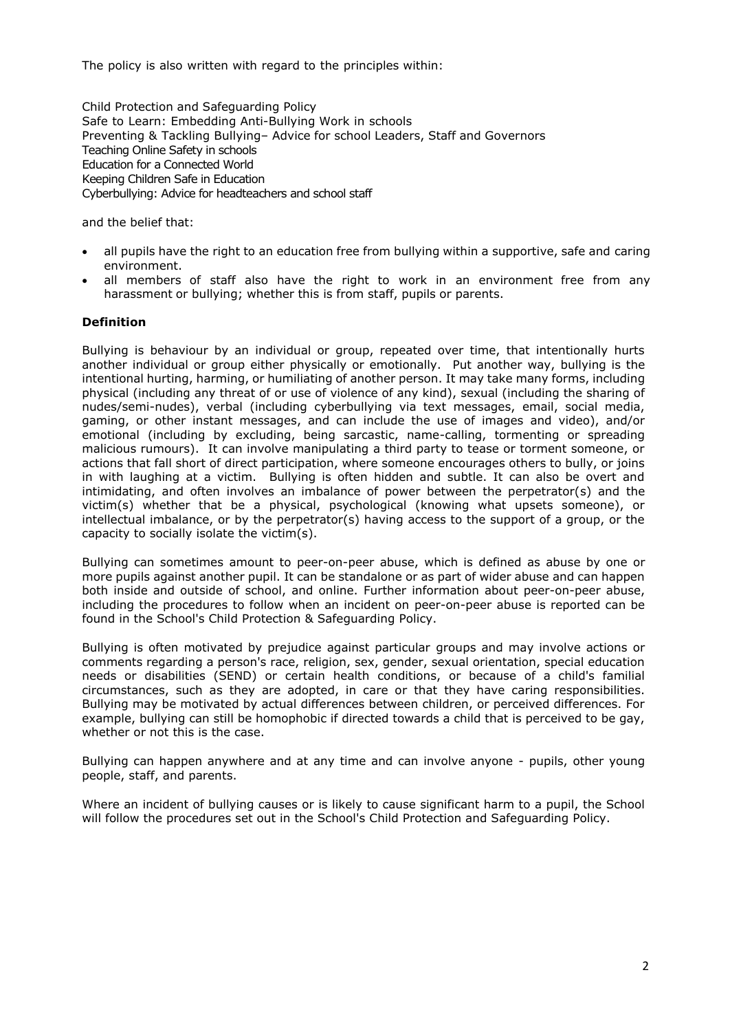The policy is also written with regard to the principles within:

Child Protection and Safeguarding Policy Safe to Learn: Embedding Anti-Bullying Work in schools Preventing & Tackling Bullying– Advice for school Leaders, Staff and Governors Teaching Online Safety in schools Education for a Connected World Keeping Children Safe in Education Cyberbullying: Advice for headteachers and school staff

and the belief that:

- all pupils have the right to an education free from bullying within a supportive, safe and caring environment.
- all members of staff also have the right to work in an environment free from any harassment or bullying; whether this is from staff, pupils or parents.

## **Definition**

Bullying is behaviour by an individual or group, repeated over time, that intentionally hurts another individual or group either physically or emotionally. Put another way, bullying is the intentional hurting, harming, or humiliating of another person. It may take many forms, including physical (including any threat of or use of violence of any kind), sexual (including the sharing of nudes/semi-nudes), verbal (including cyberbullying via text messages, email, social media, gaming, or other instant messages, and can include the use of images and video), and/or emotional (including by excluding, being sarcastic, name-calling, tormenting or spreading malicious rumours). It can involve manipulating a third party to tease or torment someone, or actions that fall short of direct participation, where someone encourages others to bully, or joins in with laughing at a victim. Bullying is often hidden and subtle. It can also be overt and intimidating, and often involves an imbalance of power between the perpetrator(s) and the victim(s) whether that be a physical, psychological (knowing what upsets someone), or intellectual imbalance, or by the perpetrator(s) having access to the support of a group, or the capacity to socially isolate the victim(s).

Bullying can sometimes amount to peer-on-peer abuse, which is defined as abuse by one or more pupils against another pupil. It can be standalone or as part of wider abuse and can happen both inside and outside of school, and online. Further information about peer-on-peer abuse, including the procedures to follow when an incident on peer-on-peer abuse is reported can be found in the School's Child Protection & Safeguarding Policy.

Bullying is often motivated by prejudice against particular groups and may involve actions or comments regarding a person's race, religion, sex, gender, sexual orientation, special education needs or disabilities (SEND) or certain health conditions, or because of a child's familial circumstances, such as they are adopted, in care or that they have caring responsibilities. Bullying may be motivated by actual differences between children, or perceived differences. For example, bullying can still be homophobic if directed towards a child that is perceived to be gay, whether or not this is the case.

Bullying can happen anywhere and at any time and can involve anyone - pupils, other young people, staff, and parents.

Where an incident of bullying causes or is likely to cause significant harm to a pupil, the School will follow the procedures set out in the School's Child Protection and Safeguarding Policy.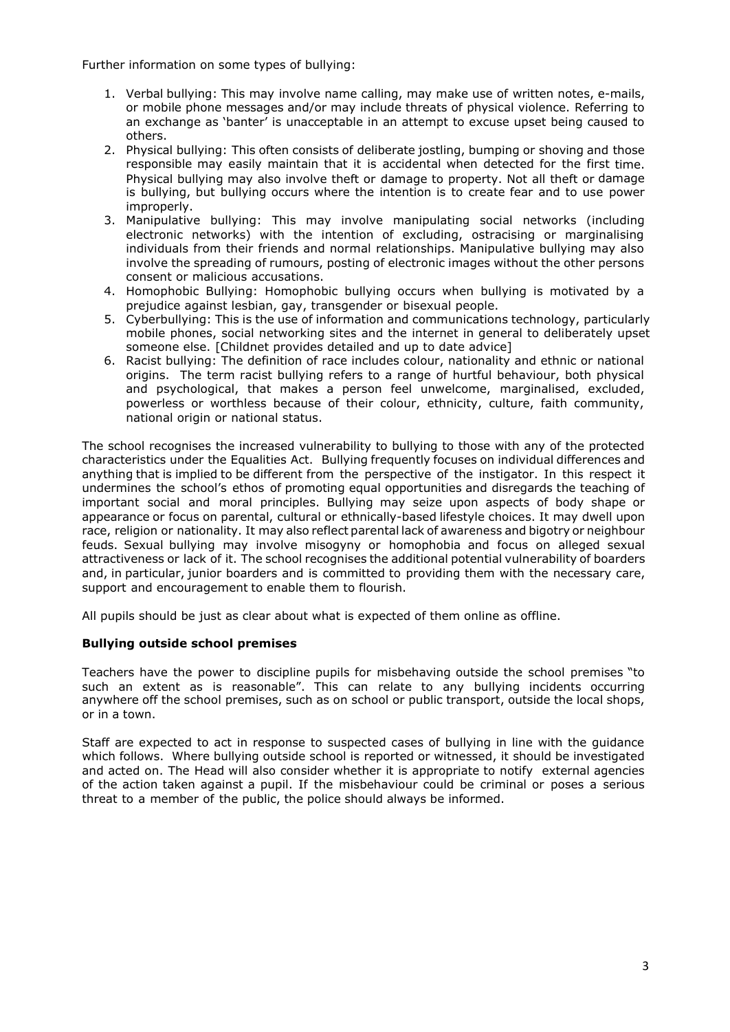Further information on some types of bullying:

- 1. Verbal bullying: This may involve name calling, may make use of written notes, e-mails, or mobile phone messages and/or may include threats of physical violence. Referring to an exchange as 'banter' is unacceptable in an attempt to excuse upset being caused to others.
- 2. Physical bullying: This often consists of deliberate jostling, bumping or shoving and those responsible may easily maintain that it is accidental when detected for the first time. Physical bullying may also involve theft or damage to property. Not all theft or damage is bullying, but bullying occurs where the intention is to create fear and to use power improperly.
- 3. Manipulative bullying: This may involve manipulating social networks (including electronic networks) with the intention of excluding, ostracising or marginalising individuals from their friends and normal relationships. Manipulative bullying may also involve the spreading of rumours, posting of electronic images without the other persons consent or malicious accusations.
- 4. Homophobic Bullying: Homophobic bullying occurs when bullying is motivated by a prejudice against lesbian, gay, transgender or bisexual people.
- 5. Cyberbullying: This is the use of information and communications technology, particularly mobile phones, social networking sites and the internet in general to deliberately upset someone else. [Childnet provides detailed and up to date advice]
- 6. Racist bullying: The definition of race includes colour, nationality and ethnic or national origins. The term racist bullying refers to a range of hurtful behaviour, both physical and psychological, that makes a person feel unwelcome, marginalised, excluded, powerless or worthless because of their colour, ethnicity, culture, faith community, national origin or national status.

The school recognises the increased vulnerability to bullying to those with any of the protected characteristics under the Equalities Act. Bullying frequently focuses on individual differences and anything that is implied to be different from the perspective of the instigator. In this respect it undermines the school's ethos of promoting equal opportunities and disregards the teaching of important social and moral principles. Bullying may seize upon aspects of body shape or appearance or focus on parental, cultural or ethnically-based lifestyle choices. It may dwell upon race, religion or nationality. It may also reflect parental lack of awareness and bigotry or neighbour feuds. Sexual bullying may involve misogyny or homophobia and focus on alleged sexual attractiveness or lack of it. The school recognises the additional potential vulnerability of boarders and, in particular, junior boarders and is committed to providing them with the necessary care, support and encouragement to enable them to flourish.

All pupils should be just as clear about what is expected of them online as offline.

## **Bullying outside school premises**

Teachers have the power to discipline pupils for misbehaving outside the school premises "to such an extent as is reasonable". This can relate to any bullying incidents occurring anywhere off the school premises, such as on school or public transport, outside the local shops, or in a town.

Staff are expected to act in response to suspected cases of bullying in line with the guidance which follows. Where bullying outside school is reported or witnessed, it should be investigated and acted on. The Head will also consider whether it is appropriate to notify external agencies of the action taken against a pupil. If the misbehaviour could be criminal or poses a serious threat to a member of the public, the police should always be informed.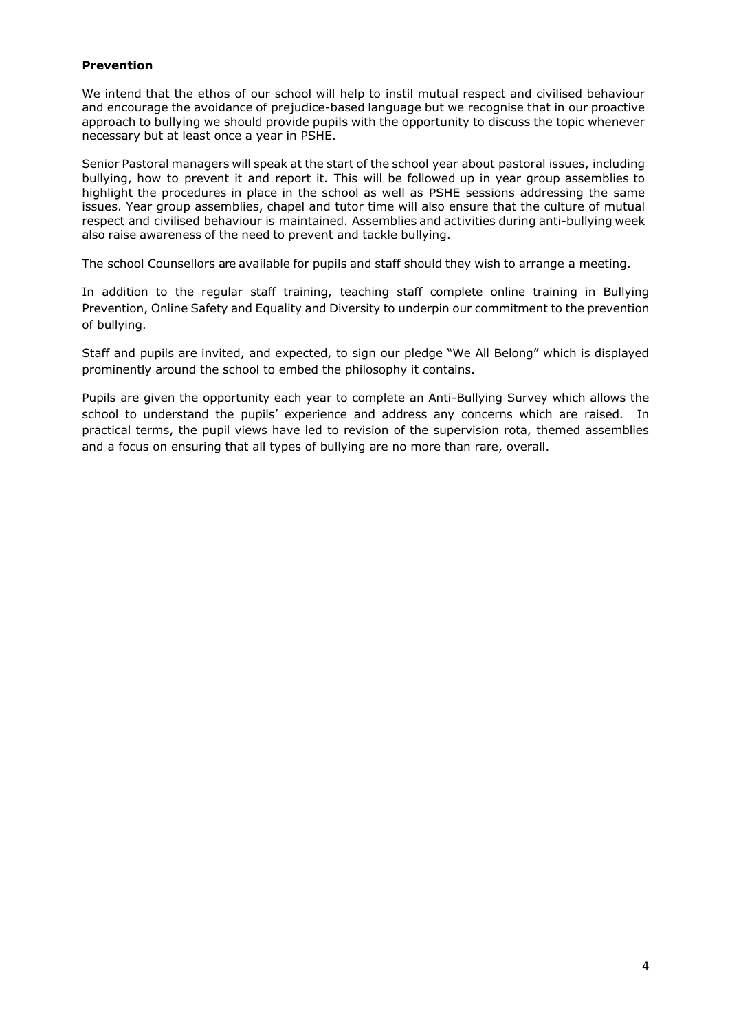## **Prevention**

We intend that the ethos of our school will help to instil mutual respect and civilised behaviour and encourage the avoidance of prejudice-based language but we recognise that in our proactive approach to bullying we should provide pupils with the opportunity to discuss the topic whenever necessary but at least once a year in PSHE.

Senior Pastoral managers will speak at the start of the school year about pastoral issues, including bullying, how to prevent it and report it. This will be followed up in year group assemblies to highlight the procedures in place in the school as well as PSHE sessions addressing the same issues. Year group assemblies, chapel and tutor time will also ensure that the culture of mutual respect and civilised behaviour is maintained. Assemblies and activities during anti-bullying week also raise awareness of the need to prevent and tackle bullying.

The school Counsellors are available for pupils and staff should they wish to arrange a meeting.

In addition to the regular staff training, teaching staff complete online training in Bullying Prevention, Online Safety and Equality and Diversity to underpin our commitment to the prevention of bullying.

Staff and pupils are invited, and expected, to sign our pledge "We All Belong" which is displayed prominently around the school to embed the philosophy it contains.

Pupils are given the opportunity each year to complete an Anti-Bullying Survey which allows the school to understand the pupils' experience and address any concerns which are raised. In practical terms, the pupil views have led to revision of the supervision rota, themed assemblies and a focus on ensuring that all types of bullying are no more than rare, overall.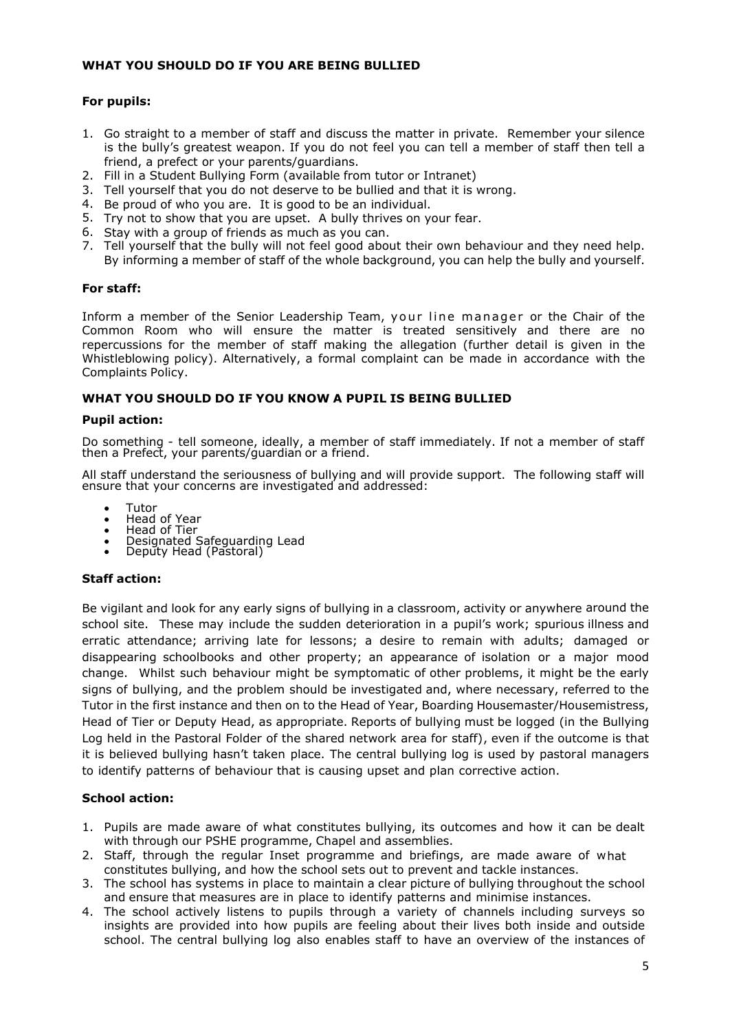### **WHAT YOU SHOULD DO IF YOU ARE BEING BULLIED**

# **For pupils:**

- 1. Go straight to a member of staff and discuss the matter in private. Remember your silence is the bully's greatest weapon. If you do not feel you can tell a member of staff then tell a friend, a prefect or your parents/guardians.
- 2. Fill in a Student Bullying Form (available from tutor or Intranet)
- 3. Tell yourself that you do not deserve to be bullied and that it is wrong.
- 4. Be proud of who you are. It is good to be an individual.
- 5. Try not to show that you are upset. A bully thrives on your fear.
- 6. Stay with a group of friends as much as you can.
- 7. Tell yourself that the bully will not feel good about their own behaviour and they need help. By informing a member of staff of the whole background, you can help the bully and yourself.

### **For staff:**

Inform a member of the Senior Leadership Team, your line manager or the Chair of the Common Room who will ensure the matter is treated sensitively and there are no repercussions for the member of staff making the allegation (further detail is given in the Whistleblowing policy). Alternatively, a formal complaint can be made in accordance with the Complaints Policy.

### **WHAT YOU SHOULD DO IF YOU KNOW A PUPIL IS BEING BULLIED**

#### **Pupil action:**

Do something - tell someone, ideally, a member of staff immediately. If not a member of staff then a Prefect, your parents/guardian or a friend.

All staff understand the seriousness of bullying and will provide support. The following staff will ensure that your concerns are investigated and addressed:

- Tutor
- Head of Year<br>• Head of Tier
- Head of Tier
- Designated Safeguarding Lead • Deputy Head (Pastoral)

## **Staff action:**

Be vigilant and look for any early signs of bullying in a classroom, activity or anywhere around the school site. These may include the sudden deterioration in a pupil's work; spurious illness and erratic attendance; arriving late for lessons; a desire to remain with adults; damaged or disappearing schoolbooks and other property; an appearance of isolation or a major mood change. Whilst such behaviour might be symptomatic of other problems, it might be the early signs of bullying, and the problem should be investigated and, where necessary, referred to the Tutor in the first instance and then on to the Head of Year, Boarding Housemaster/Housemistress, Head of Tier or Deputy Head, as appropriate. Reports of bullying must be logged (in the Bullying Log held in the Pastoral Folder of the shared network area for staff), even if the outcome is that it is believed bullying hasn't taken place. The central bullying log is used by pastoral managers to identify patterns of behaviour that is causing upset and plan corrective action.

## **School action:**

- 1. Pupils are made aware of what constitutes bullying, its outcomes and how it can be dealt with through our PSHE programme, Chapel and assemblies.
- 2. Staff, through the regular Inset programme and briefings, are made aware of what constitutes bullying, and how the school sets out to prevent and tackle instances.
- 3. The school has systems in place to maintain a clear picture of bullying throughout the school and ensure that measures are in place to identify patterns and minimise instances.
- 4. The school actively listens to pupils through a variety of channels including surveys so insights are provided into how pupils are feeling about their lives both inside and outside school. The central bullying log also enables staff to have an overview of the instances of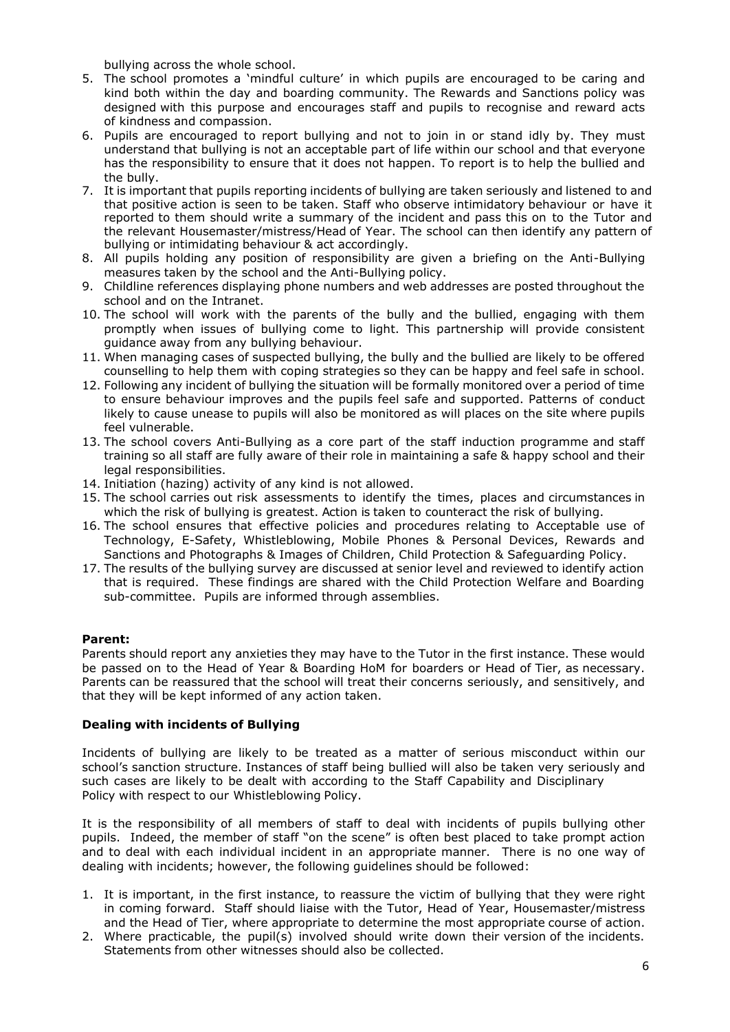bullying across the whole school.

- 5. The school promotes a 'mindful culture' in which pupils are encouraged to be caring and kind both within the day and boarding community. The Rewards and Sanctions policy was designed with this purpose and encourages staff and pupils to recognise and reward acts of kindness and compassion.
- 6. Pupils are encouraged to report bullying and not to join in or stand idly by. They must understand that bullying is not an acceptable part of life within our school and that everyone has the responsibility to ensure that it does not happen. To report is to help the bullied and the bully.
- 7. It is important that pupils reporting incidents of bullying are taken seriously and listened to and that positive action is seen to be taken. Staff who observe intimidatory behaviour or have it reported to them should write a summary of the incident and pass this on to the Tutor and the relevant Housemaster/mistress/Head of Year. The school can then identify any pattern of bullying or intimidating behaviour & act accordingly.
- 8. All pupils holding any position of responsibility are given a briefing on the Anti-Bullying measures taken by the school and the Anti-Bullying policy.
- 9. Childline references displaying phone numbers and web addresses are posted throughout the school and on the Intranet.
- 10. The school will work with the parents of the bully and the bullied, engaging with them promptly when issues of bullying come to light. This partnership will provide consistent guidance away from any bullying behaviour.
- 11. When managing cases of suspected bullying, the bully and the bullied are likely to be offered counselling to help them with coping strategies so they can be happy and feel safe in school.
- 12. Following any incident of bullying the situation will be formally monitored over a period of time to ensure behaviour improves and the pupils feel safe and supported. Patterns of conduct likely to cause unease to pupils will also be monitored as will places on the site where pupils feel vulnerable.
- 13. The school covers Anti-Bullying as a core part of the staff induction programme and staff training so all staff are fully aware of their role in maintaining a safe & happy school and their legal responsibilities.
- 14. Initiation (hazing) activity of any kind is not allowed.
- 15. The school carries out risk assessments to identify the times, places and circumstances in which the risk of bullying is greatest. Action is taken to counteract the risk of bullying.
- 16. The school ensures that effective policies and procedures relating to Acceptable use of Technology, E-Safety, Whistleblowing, Mobile Phones & Personal Devices, Rewards and Sanctions and Photographs & Images of Children, Child Protection & Safeguarding Policy.
- 17. The results of the bullying survey are discussed at senior level and reviewed to identify action that is required. These findings are shared with the Child Protection Welfare and Boarding sub-committee. Pupils are informed through assemblies.

## **Parent:**

Parents should report any anxieties they may have to the Tutor in the first instance. These would be passed on to the Head of Year & Boarding HoM for boarders or Head of Tier, as necessary. Parents can be reassured that the school will treat their concerns seriously, and sensitively, and that they will be kept informed of any action taken.

## **Dealing with incidents of Bullying**

Incidents of bullying are likely to be treated as a matter of serious misconduct within our school's sanction structure. Instances of staff being bullied will also be taken very seriously and such cases are likely to be dealt with according to the Staff Capability and Disciplinary Policy with respect to our Whistleblowing Policy.

It is the responsibility of all members of staff to deal with incidents of pupils bullying other pupils. Indeed, the member of staff "on the scene" is often best placed to take prompt action and to deal with each individual incident in an appropriate manner. There is no one way of dealing with incidents; however, the following guidelines should be followed:

- 1. It is important, in the first instance, to reassure the victim of bullying that they were right in coming forward. Staff should liaise with the Tutor, Head of Year, Housemaster/mistress and the Head of Tier, where appropriate to determine the most appropriate course of action.
- 2. Where practicable, the pupil(s) involved should write down their version of the incidents. Statements from other witnesses should also be collected.